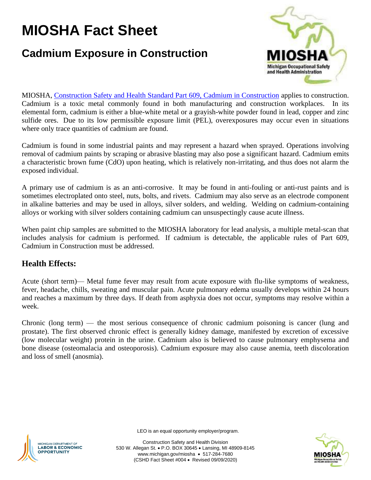# **MIOSHA Fact Sheet**

# **Cadmium Exposure in Construction**



MIOSHA, [Construction Safety and Health Standard Part 609, Cadmium in Construction](http://www.michigan.gov/documents/lara/lara_miosha_CS_609_642831_7.pdf) applies to construction. Cadmium is a toxic metal commonly found in both manufacturing and construction workplaces. In its elemental form, cadmium is either a blue-white metal or a grayish-white powder found in lead, copper and zinc sulfide ores. Due to its low permissible exposure limit (PEL), overexposures may occur even in situations where only trace quantities of cadmium are found.

Cadmium is found in some industrial paints and may represent a hazard when sprayed. Operations involving removal of cadmium paints by scraping or abrasive blasting may also pose a significant hazard. Cadmium emits a characteristic brown fume (CdO) upon heating, which is relatively non-irritating, and thus does not alarm the exposed individual.

A primary use of cadmium is as an anti-corrosive. It may be found in anti-fouling or anti-rust paints and is sometimes electroplated onto steel, nuts, bolts, and rivets. Cadmium may also serve as an electrode component in alkaline batteries and may be used in alloys, silver solders, and welding. Welding on cadmium-containing alloys or working with silver solders containing cadmium can unsuspectingly cause acute illness.

When paint chip samples are submitted to the MIOSHA laboratory for lead analysis, a multiple metal-scan that includes analysis for cadmium is performed. If cadmium is detectable, the applicable rules of Part 609, Cadmium in Construction must be addressed.

## **Health Effects:**

Acute (short term)— Metal fume fever may result from acute exposure with flu-like symptoms of weakness, fever, headache, chills, sweating and muscular pain. Acute pulmonary edema usually develops within 24 hours and reaches a maximum by three days. If death from asphyxia does not occur, symptoms may resolve within a week.

Chronic (long term) — the most serious consequence of chronic cadmium poisoning is cancer (lung and prostate). The first observed chronic effect is generally kidney damage, manifested by excretion of excessive (low molecular weight) protein in the urine. Cadmium also is believed to cause pulmonary emphysema and bone disease (osteomalacia and osteoporosis). Cadmium exposure may also cause anemia, teeth discoloration and loss of smell (anosmia).



LEO is an equal opportunity employer/program.

Construction Safety and Health Division 530 W. Allegan St. • P.O. BOX 30645 • Lansing, MI 48909-8145 www.michigan.gov/miosha • 517-284-7680 (CSHD Fact Sheet #004 • Revised 09/09/2020)

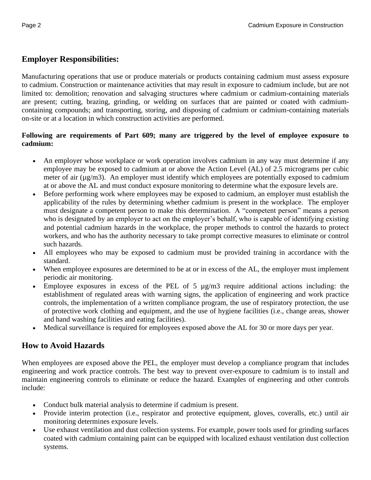# **Employer Responsibilities:**

Manufacturing operations that use or produce materials or products containing cadmium must assess exposure to cadmium. Construction or maintenance activities that may result in exposure to cadmium include, but are not limited to: demolition; renovation and salvaging structures where cadmium or cadmium-containing materials are present; cutting, brazing, grinding, or welding on surfaces that are painted or coated with cadmiumcontaining compounds; and transporting, storing, and disposing of cadmium or cadmium-containing materials on-site or at a location in which construction activities are performed.

#### **Following are requirements of Part 609; many are triggered by the level of employee exposure to cadmium:**

- An employer whose workplace or work operation involves cadmium in any way must determine if any employee may be exposed to cadmium at or above the Action Level (AL) of 2.5 micrograms per cubic meter of air ( $\mu$ g/m3). An employer must identify which employees are potentially exposed to cadmium at or above the AL and must conduct exposure monitoring to determine what the exposure levels are.
- Before performing work where employees may be exposed to cadmium, an employer must establish the applicability of the rules by determining whether cadmium is present in the workplace. The employer must designate a competent person to make this determination. A "competent person" means a person who is designated by an employer to act on the employer's behalf, who is capable of identifying existing and potential cadmium hazards in the workplace, the proper methods to control the hazards to protect workers, and who has the authority necessary to take prompt corrective measures to eliminate or control such hazards.
- All employees who may be exposed to cadmium must be provided training in accordance with the standard.
- When employee exposures are determined to be at or in excess of the AL, the employer must implement periodic air monitoring.
- Employee exposures in excess of the PEL of 5  $\mu$ g/m3 require additional actions including: the establishment of regulated areas with warning signs, the application of engineering and work practice controls, the implementation of a written compliance program, the use of respiratory protection, the use of protective work clothing and equipment, and the use of hygiene facilities (i.e., change areas, shower and hand washing facilities and eating facilities).
- Medical surveillance is required for employees exposed above the AL for 30 or more days per year.

## **How to Avoid Hazards**

When employees are exposed above the PEL, the employer must develop a compliance program that includes engineering and work practice controls. The best way to prevent over-exposure to cadmium is to install and maintain engineering controls to eliminate or reduce the hazard. Examples of engineering and other controls include:

- Conduct bulk material analysis to determine if cadmium is present.
- Provide interim protection (i.e., respirator and protective equipment, gloves, coveralls, etc.) until air monitoring determines exposure levels.
- Use exhaust ventilation and dust collection systems. For example, power tools used for grinding surfaces coated with cadmium containing paint can be equipped with localized exhaust ventilation dust collection systems.